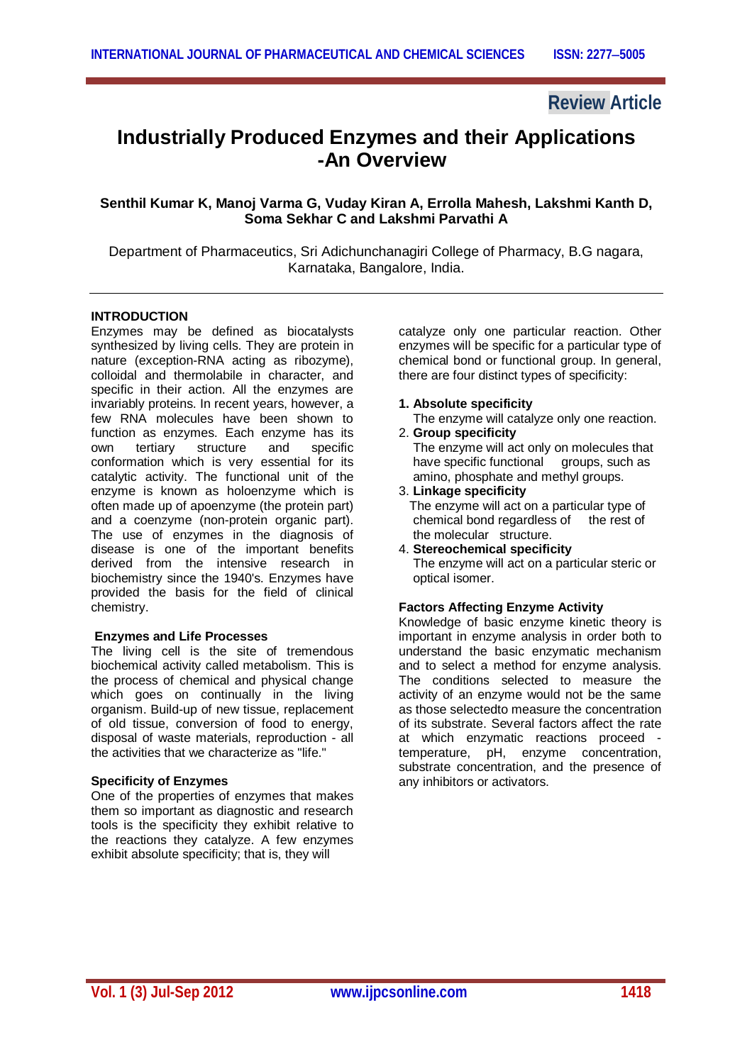# **Review Article**

# **Industrially Produced Enzymes and their Applications -An Overview**

# **Senthil Kumar K, Manoj Varma G, Vuday Kiran A, Errolla Mahesh, Lakshmi Kanth D, Soma Sekhar C and Lakshmi Parvathi A**

Department of Pharmaceutics, Sri Adichunchanagiri College of Pharmacy, B.G nagara, Karnataka, Bangalore, India.

#### **INTRODUCTION**

Enzymes may be defined as biocatalysts synthesized by living cells. They are protein in nature (exception-RNA acting as ribozyme), colloidal and thermolabile in character, and specific in their action. All the enzymes are invariably proteins. In recent years, however, a few RNA molecules have been shown to function as enzymes. Each enzyme has its own tertiary structure and specific conformation which is very essential for its catalytic activity. The functional unit of the enzyme is known as holoenzyme which is often made up of apoenzyme (the protein part) and a coenzyme (non-protein organic part). The use of enzymes in the diagnosis of disease is one of the important benefits derived from the intensive research in biochemistry since the 1940's. Enzymes have provided the basis for the field of clinical chemistry.

#### **Enzymes and Life Processes**

The living cell is the site of tremendous biochemical activity called metabolism. This is the process of chemical and physical change which goes on continually in the living organism. Build-up of new tissue, replacement of old tissue, conversion of food to energy, disposal of waste materials, reproduction - all the activities that we characterize as "life."

# **Specificity of Enzymes**

One of the properties of enzymes that makes them so important as diagnostic and research tools is the specificity they exhibit relative to the reactions they catalyze. A few enzymes exhibit absolute specificity; that is, they will

catalyze only one particular reaction. Other enzymes will be specific for a particular type of chemical bond or functional group. In general, there are four distinct types of specificity:

**1. Absolute specificity** 

The enzyme will catalyze only one reaction.

- 2. **Group specificity**  The enzyme will act only on molecules that have specific functional groups, such as amino, phosphate and methyl groups.
- 3. **Linkage specificity**  The enzyme will act on a particular type of chemical bond regardless of the rest of the molecular structure.
- 4. **Stereochemical specificity**  The enzyme will act on a particular steric or optical isomer.

# **Factors Affecting Enzyme Activity**

Knowledge of basic enzyme kinetic theory is important in enzyme analysis in order both to understand the basic enzymatic mechanism and to select a method for enzyme analysis. The conditions selected to measure the activity of an enzyme would not be the same as those selectedto measure the concentration of its substrate. Several factors affect the rate at which enzymatic reactions proceed temperature, pH, enzyme concentration, substrate concentration, and the presence of any inhibitors or activators.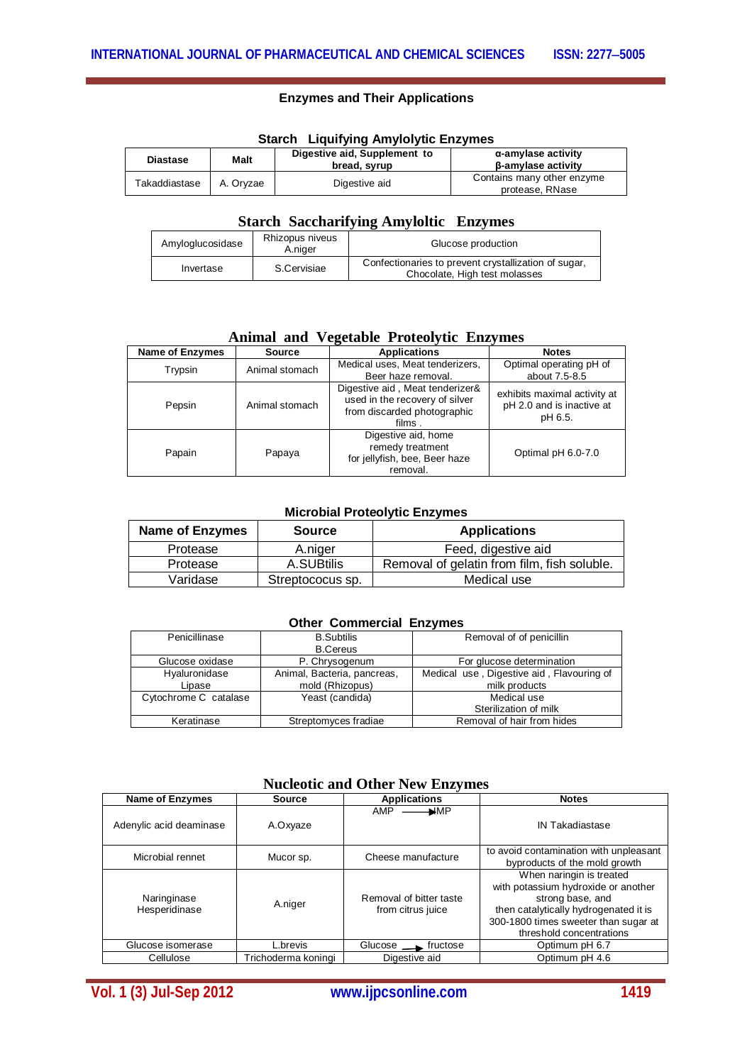# **Enzymes and Their Applications**

| Start Liquilying Aniyoryuc Linzyines |             |                              |                            |  |
|--------------------------------------|-------------|------------------------------|----------------------------|--|
| <b>Diastase</b>                      | <b>Malt</b> | Digestive aid, Supplement to | α-amylase activity         |  |
|                                      |             | bread, svrup                 | <b>B-amylase activity</b>  |  |
| Takaddiastase                        | A. Orvzae   |                              | Contains many other enzyme |  |
|                                      |             | Digestive aid                | protease, RNase            |  |

# **Starch Liquifying Amylolytic Enzymes**

### **Starch Saccharifying Amyloltic Enzymes**

| Amyloglucosidase | Rhizopus niveus<br>A.niger | Glucose production                                                                    |  |
|------------------|----------------------------|---------------------------------------------------------------------------------------|--|
| Invertase        | S.Cervisiae                | Confectionaries to prevent crystallization of sugar,<br>Chocolate, High test molasses |  |

### **Animal and Vegetable Proteolytic Enzymes**

| <b>Name of Enzymes</b><br><b>Source</b> |                | <b>Applications</b>                                                                                        | <b>Notes</b>                                                         |  |
|-----------------------------------------|----------------|------------------------------------------------------------------------------------------------------------|----------------------------------------------------------------------|--|
| Trypsin                                 | Animal stomach | Medical uses, Meat tenderizers,                                                                            | Optimal operating pH of                                              |  |
|                                         |                | Beer haze removal.                                                                                         | about 7.5-8.5                                                        |  |
| Pepsin                                  | Animal stomach | Digestive aid, Meat tenderizer&<br>used in the recovery of silver<br>from discarded photographic<br>films. | exhibits maximal activity at<br>pH 2.0 and is inactive at<br>pH 6.5. |  |
| Papain                                  | Papaya         | Digestive aid, home<br>remedy treatment<br>for jellyfish, bee, Beer haze<br>removal.                       | Optimal pH 6.0-7.0                                                   |  |

### **Microbial Proteolytic Enzymes**

| <b>Name of Enzymes</b> | <b>Source</b>    | <b>Applications</b>                         |
|------------------------|------------------|---------------------------------------------|
| Protease               | A.niger          | Feed, digestive aid                         |
| Protease               | A.SUBtilis       | Removal of gelatin from film, fish soluble. |
| Varidase               | Streptococus sp. | Medical use                                 |

#### **Other Commercial Enzymes**

| Penicillinase         | <b>B.Subtilis</b><br><b>B.Cereus</b> | Removal of of penicillin                  |
|-----------------------|--------------------------------------|-------------------------------------------|
|                       |                                      |                                           |
| Glucose oxidase       | P. Chrysogenum                       | For glucose determination                 |
| Hyaluronidase         | Animal, Bacteria, pancreas,          | Medical use, Digestive aid, Flavouring of |
| Lipase                | mold (Rhizopus)                      | milk products                             |
| Cytochrome C catalase | Yeast (candida)                      | Medical use                               |
|                       |                                      | Sterilization of milk                     |
| Keratinase            | Streptomyces fradiae                 | Removal of hair from hides                |

# **Nucleotic and Other New Enzymes**

| <b>Name of Enzymes</b>       | <b>Source</b>       | <b>Applications</b>                          | <b>Notes</b>                                                                                                                                                                                     |
|------------------------------|---------------------|----------------------------------------------|--------------------------------------------------------------------------------------------------------------------------------------------------------------------------------------------------|
| Adenylic acid deaminase      | A.Oxyaze            | <b>AMP</b><br>₩MP                            | <b>IN Takadiastase</b>                                                                                                                                                                           |
| Microbial rennet             | Mucor sp.           | Cheese manufacture                           | to avoid contamination with unpleasant<br>byproducts of the mold growth                                                                                                                          |
| Naringinase<br>Hesperidinase | A.niger             | Removal of bitter taste<br>from citrus juice | When naringin is treated<br>with potassium hydroxide or another<br>strong base, and<br>then catalytically hydrogenated it is<br>300-1800 times sweeter than sugar at<br>threshold concentrations |
| Glucose isomerase            | L.brevis            | Glucose __ fructose                          | Optimum pH 6.7                                                                                                                                                                                   |
| Cellulose                    | Trichoderma koningi | Digestive aid                                | Optimum pH 4.6                                                                                                                                                                                   |

**Vol. 1 (3) Jul-Sep 2012 www.ijpcsonline.com 1419**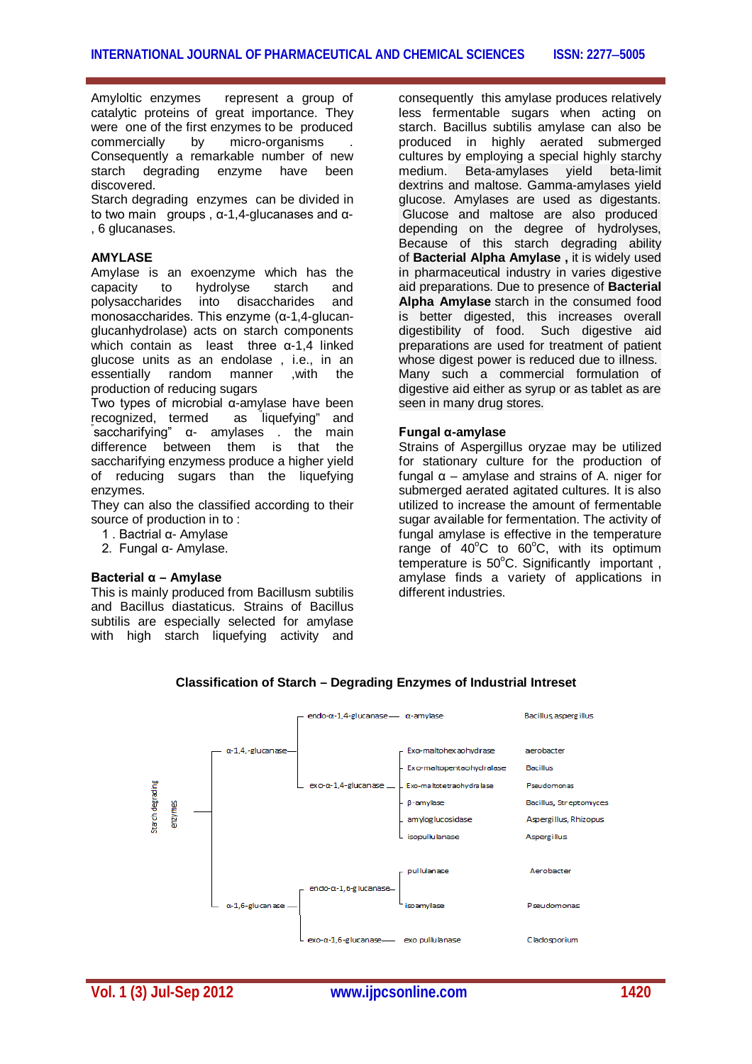Amyloltic enzymes represent a group of catalytic proteins of great importance. They were one of the first enzymes to be produced commercially by micro-organisms . Consequently a remarkable number of new starch degrading enzyme have been discovered.

Starch degrading enzymes can be divided in to two main groups , α-1,4-glucanases and α- , 6 glucanases.

#### **AMYLASE**

Amylase is an exoenzyme which has the capacity to hydrolyse starch and polysaccharides into disaccharides and monosaccharides. This enzyme (α-1,4-glucanglucanhydrolase) acts on starch components which contain as least three α-1,4 linked glucose units as an endolase, i.e., in an<br>essentially random manner .with the essentially random manner ,with the production of reducing sugars

Two types of microbial α-amylase have been recognized, termed as liquefying" and " saccharifying" α- amylases . the main difference between them is that the saccharifying enzymess produce a higher yield of reducing sugars than the liquefying enzymes.

They can also the classified according to their source of production in to :

- 1 . Bactrial α- Amylase
- 2. Fungal α- Amylase.

#### **Bacterial α – Amylase**

This is mainly produced from Bacillusm subtilis and Bacillus diastaticus. Strains of Bacillus subtilis are especially selected for amylase with high starch liquefying activity and consequently this amylase produces relatively less fermentable sugars when acting on starch. Bacillus subtilis amylase can also be produced in highly aerated submerged cultures by employing a special highly starchy medium. Beta-amylases yield beta-limit dextrins and maltose. Gamma-amylases yield glucose. Amylases are used as digestants. Glucose and maltose are also produced depending on the degree of hydrolyses, Because of this starch degrading ability of **Bacterial Alpha Amylase ,** it is widely used in pharmaceutical industry in varies digestive aid preparations. Due to presence of **Bacterial Alpha Amylase** starch in the consumed food is better digested, this increases overall digestibility of food. Such digestive aid preparations are used for treatment of patient whose digest power is reduced due to illness. Many such a commercial formulation of digestive aid either as syrup or as tablet as are seen in many drug stores.

#### **Fungal α-amylase**

Strains of Aspergillus oryzae may be utilized for stationary culture for the production of fungal α – amylase and strains of A. niger for submerged aerated agitated cultures. It is also utilized to increase the amount of fermentable sugar available for fermentation. The activity of fungal amylase is effective in the temperature range of  $40^{\circ}$ C to  $60^{\circ}$ C, with its optimum temperature is  $50^{\circ}$ C. Significantly important, amylase finds a variety of applications in different industries.



# **Classification of Starch – Degrading Enzymes of Industrial Intreset**